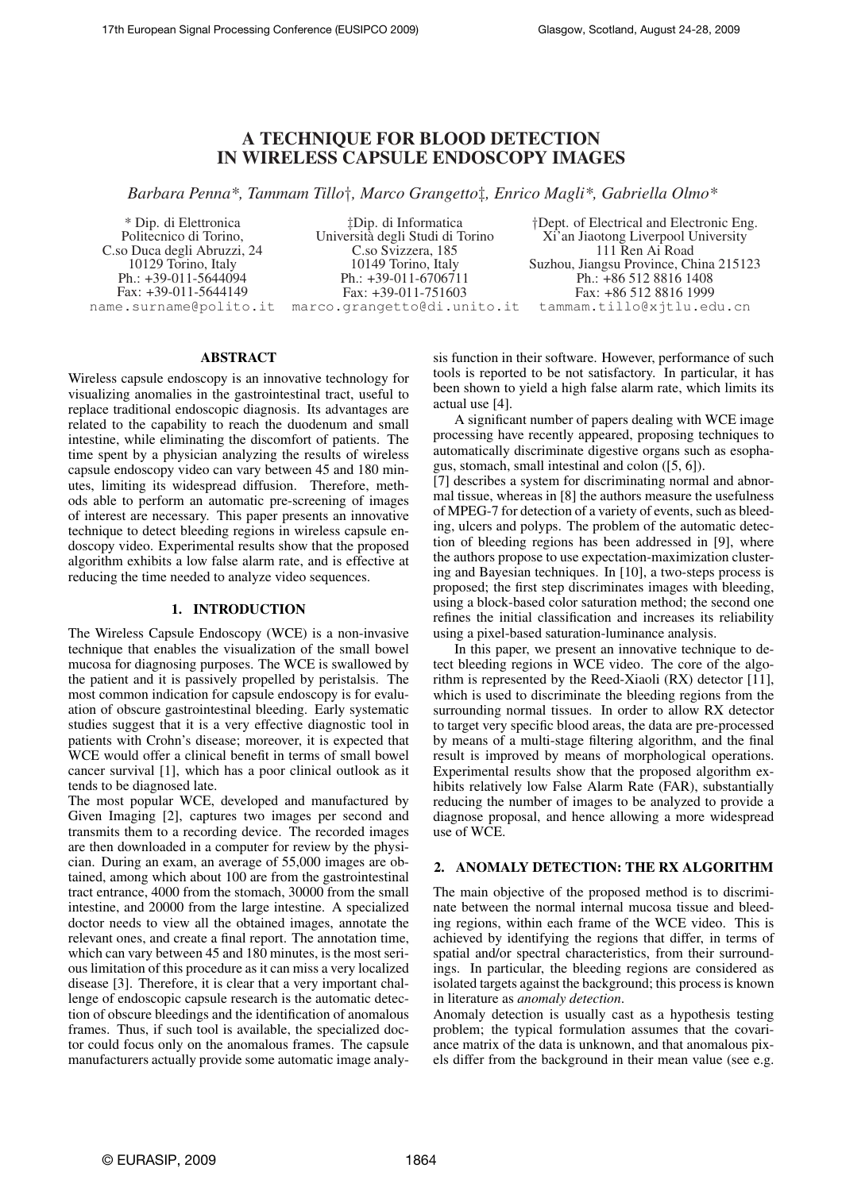# A TECHNIQUE FOR BLOOD DETECTION IN WIRELESS CAPSULE ENDOSCOPY IMAGES

*Barbara Penna\*, Tammam Tillo*†*, Marco Grangetto*‡*, Enrico Magli\*, Gabriella Olmo\**

\* Dip. di Elettronica Politecnico di Torino, C.so Duca degli Abruzzi, 24 10129 Torino, Italy Ph.: +39-011-5644094 Fax: +39-011-5644149 name.surname@polito.it

‡Dip. di Informatica Universita degli Studi di Torino ` C.so Svizzera, 185 10149 Torino, Italy Ph.: +39-011-6706711 Fax: +39-011-751603 marco.grangetto@di.unito.it

†Dept. of Electrical and Electronic Eng. Xi'an Jiaotong Liverpool University 111 Ren Ai Road Suzhou, Jiangsu Province, China 215123 Ph.: +86 512 8816 1408 Fax: +86 512 8816 1999 tammam.tillo@xjtlu.edu.cn

# ABSTRACT

Wireless capsule endoscopy is an innovative technology for visualizing anomalies in the gastrointestinal tract, useful to replace traditional endoscopic diagnosis. Its advantages are related to the capability to reach the duodenum and small intestine, while eliminating the discomfort of patients. The time spent by a physician analyzing the results of wireless capsule endoscopy video can vary between 45 and 180 minutes, limiting its widespread diffusion. Therefore, methods able to perform an automatic pre-screening of images of interest are necessary. This paper presents an innovative technique to detect bleeding regions in wireless capsule endoscopy video. Experimental results show that the proposed algorithm exhibits a low false alarm rate, and is effective at reducing the time needed to analyze video sequences.

# 1. INTRODUCTION

The Wireless Capsule Endoscopy (WCE) is a non-invasive technique that enables the visualization of the small bowel mucosa for diagnosing purposes. The WCE is swallowed by the patient and it is passively propelled by peristalsis. The most common indication for capsule endoscopy is for evaluation of obscure gastrointestinal bleeding. Early systematic studies suggest that it is a very effective diagnostic tool in patients with Crohn's disease; moreover, it is expected that WCE would offer a clinical benefit in terms of small bowel cancer survival [1], which has a poor clinical outlook as it tends to be diagnosed late.

The most popular WCE, developed and manufactured by Given Imaging [2], captures two images per second and transmits them to a recording device. The recorded images are then downloaded in a computer for review by the physician. During an exam, an average of 55,000 images are obtained, among which about 100 are from the gastrointestinal tract entrance, 4000 from the stomach, 30000 from the small intestine, and 20000 from the large intestine. A specialized doctor needs to view all the obtained images, annotate the relevant ones, and create a final report. The annotation time, which can vary between 45 and 180 minutes, is the most serious limitation of this procedure as it can miss a very localized disease [3]. Therefore, it is clear that a very important challenge of endoscopic capsule research is the automatic detection of obscure bleedings and the identification of anomalous frames. Thus, if such tool is available, the specialized doctor could focus only on the anomalous frames. The capsule manufacturers actually provide some automatic image analysis function in their software. However, performance of such tools is reported to be not satisfactory. In particular, it has been shown to yield a high false alarm rate, which limits its actual use [4].

A significant number of papers dealing with WCE image processing have recently appeared, proposing techniques to automatically discriminate digestive organs such as esophagus, stomach, small intestinal and colon ([5, 6]).

[7] describes a system for discriminating normal and abnormal tissue, whereas in [8] the authors measure the usefulness of MPEG-7 for detection of a variety of events, such as bleeding, ulcers and polyps. The problem of the automatic detection of bleeding regions has been addressed in [9], where the authors propose to use expectation-maximization clustering and Bayesian techniques. In [10], a two-steps process is proposed; the first step discriminates images with bleeding, using a block-based color saturation method; the second one refines the initial classification and increases its reliability using a pixel-based saturation-luminance analysis.

In this paper, we present an innovative technique to detect bleeding regions in WCE video. The core of the algorithm is represented by the Reed-Xiaoli (RX) detector [11], which is used to discriminate the bleeding regions from the surrounding normal tissues. In order to allow RX detector to target very specific blood areas, the data are pre-processed by means of a multi-stage filtering algorithm, and the final result is improved by means of morphological operations. Experimental results show that the proposed algorithm exhibits relatively low False Alarm Rate (FAR), substantially reducing the number of images to be analyzed to provide a diagnose proposal, and hence allowing a more widespread use of WCE.

# 2. ANOMALY DETECTION: THE RX ALGORITHM

The main objective of the proposed method is to discriminate between the normal internal mucosa tissue and bleeding regions, within each frame of the WCE video. This is achieved by identifying the regions that differ, in terms of spatial and/or spectral characteristics, from their surroundings. In particular, the bleeding regions are considered as isolated targets against the background; this process is known in literature as *anomaly detection*.

Anomaly detection is usually cast as a hypothesis testing problem; the typical formulation assumes that the covariance matrix of the data is unknown, and that anomalous pixels differ from the background in their mean value (see e.g.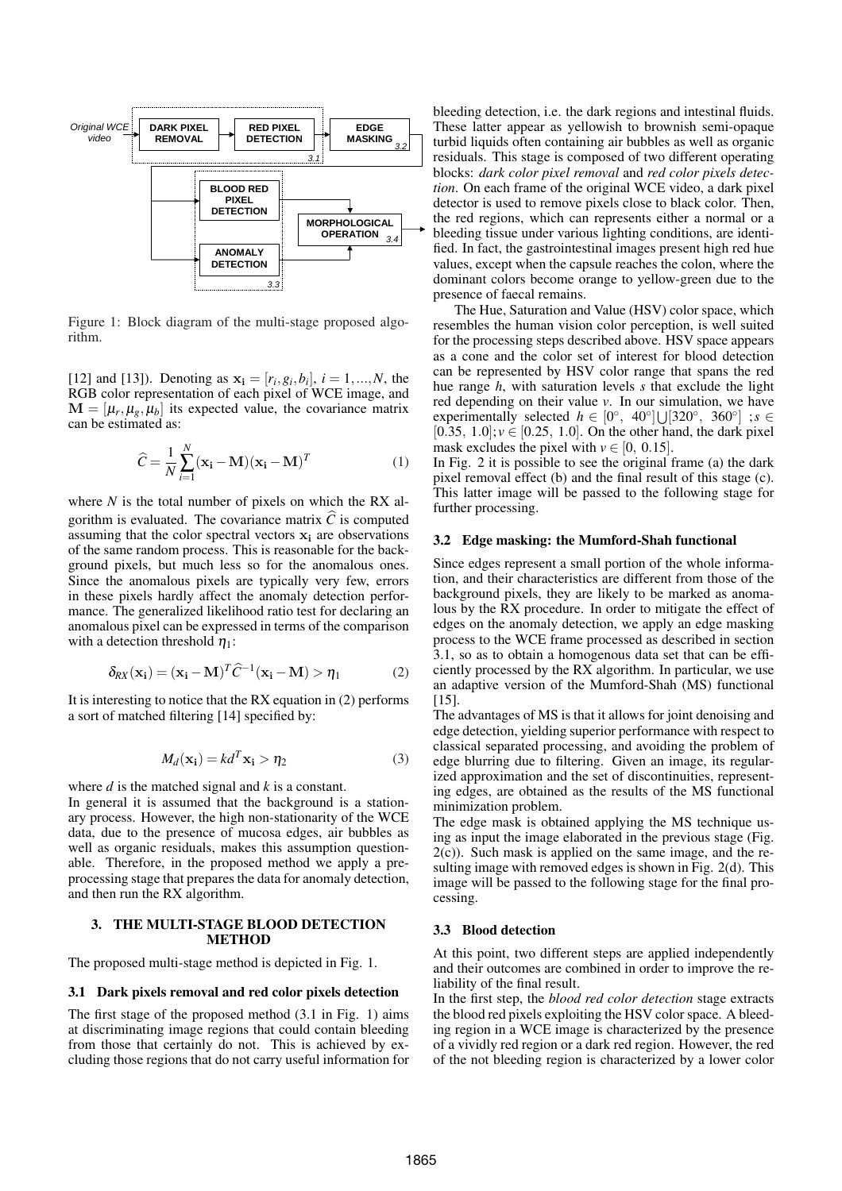

Figure 1: Block diagram of the multi-stage proposed algorithm.

[12] and [13]). Denoting as  $x_i = [r_i, g_i, b_i], i = 1, ..., N$ , the RGB color representation of each pixel of WCE image, and  $\mathbf{M} = [\mu_r, \mu_g, \mu_b]$  its expected value, the covariance matrix can be estimated as:

$$
\widehat{C} = \frac{1}{N} \sum_{i=1}^{N} (\mathbf{x_i} - \mathbf{M})(\mathbf{x_i} - \mathbf{M})^T
$$
 (1)

where *N* is the total number of pixels on which the RX algorithm is evaluated. The covariance matrix  $\hat{C}$  is computed assuming that the color spectral vectors  $x_i$  are observations of the same random process. This is reasonable for the background pixels, but much less so for the anomalous ones. Since the anomalous pixels are typically very few, errors in these pixels hardly affect the anomaly detection performance. The generalized likelihood ratio test for declaring an anomalous pixel can be expressed in terms of the comparison with a detection threshold  $\eta_1$ :

$$
\delta_{RX}(\mathbf{x_i}) = (\mathbf{x_i} - \mathbf{M})^T \hat{C}^{-1} (\mathbf{x_i} - \mathbf{M}) > \eta_1
$$
 (2)

It is interesting to notice that the RX equation in (2) performs a sort of matched filtering [14] specified by:

$$
M_d(\mathbf{x_i}) = kd^T \mathbf{x_i} > \eta_2
$$
 (3)

where *d* is the matched signal and *k* is a constant.

In general it is assumed that the background is a stationary process. However, the high non-stationarity of the WCE data, due to the presence of mucosa edges, air bubbles as well as organic residuals, makes this assumption questionable. Therefore, in the proposed method we apply a preprocessing stage that prepares the data for anomaly detection, and then run the RX algorithm.

# 3. THE MULTI-STAGE BLOOD DETECTION **METHOD**

The proposed multi-stage method is depicted in Fig. 1.

# 3.1 Dark pixels removal and red color pixels detection

The first stage of the proposed method (3.1 in Fig. 1) aims at discriminating image regions that could contain bleeding from those that certainly do not. This is achieved by excluding those regions that do not carry useful information for bleeding detection, i.e. the dark regions and intestinal fluids. These latter appear as yellowish to brownish semi-opaque turbid liquids often containing air bubbles as well as organic residuals. This stage is composed of two different operating blocks: *dark color pixel removal* and *red color pixels detection*. On each frame of the original WCE video, a dark pixel detector is used to remove pixels close to black color. Then, the red regions, which can represents either a normal or a bleeding tissue under various lighting conditions, are identified. In fact, the gastrointestinal images present high red hue values, except when the capsule reaches the colon, where the dominant colors become orange to yellow-green due to the presence of faecal remains.

The Hue, Saturation and Value (HSV) color space, which resembles the human vision color perception, is well suited for the processing steps described above. HSV space appears as a cone and the color set of interest for blood detection can be represented by HSV color range that spans the red hue range *h*, with saturation levels *s* that exclude the light red depending on their value *v*. In our simulation, we have experimentally selected  $h \in [0^{\circ}, 40^{\circ}] \cup [320^{\circ}, 360^{\circ}]$ ;s [0.35,  $1.0$ ];  $v \in [0.25, 1.0]$ . On the other hand, the dark pixel mask excludes the pixel with  $v \in [0, 0.15]$ .

In Fig. 2 it is possible to see the original frame (a) the dark pixel removal effect (b) and the final result of this stage (c). This latter image will be passed to the following stage for further processing.

#### 3.2 Edge masking: the Mumford-Shah functional

Since edges represent a small portion of the whole information, and their characteristics are different from those of the background pixels, they are likely to be marked as anomalous by the RX procedure. In order to mitigate the effect of edges on the anomaly detection, we apply an edge masking process to the WCE frame processed as described in section 3.1, so as to obtain a homogenous data set that can be efficiently processed by the RX algorithm. In particular, we use an adaptive version of the Mumford-Shah (MS) functional [15].

The advantages of MS is that it allows for joint denoising and edge detection, yielding superior performance with respect to classical separated processing, and avoiding the problem of edge blurring due to filtering. Given an image, its regularized approximation and the set of discontinuities, representing edges, are obtained as the results of the MS functional minimization problem.

The edge mask is obtained applying the MS technique using as input the image elaborated in the previous stage (Fig. 2(c)). Such mask is applied on the same image, and the resulting image with removed edges is shown in Fig. 2(d). This image will be passed to the following stage for the final processing.

#### 3.3 Blood detection

At this point, two different steps are applied independently and their outcomes are combined in order to improve the reliability of the final result.

In the first step, the *blood red color detection* stage extracts the blood red pixels exploiting the HSV color space. A bleeding region in a WCE image is characterized by the presence of a vividly red region or a dark red region. However, the red of the not bleeding region is characterized by a lower color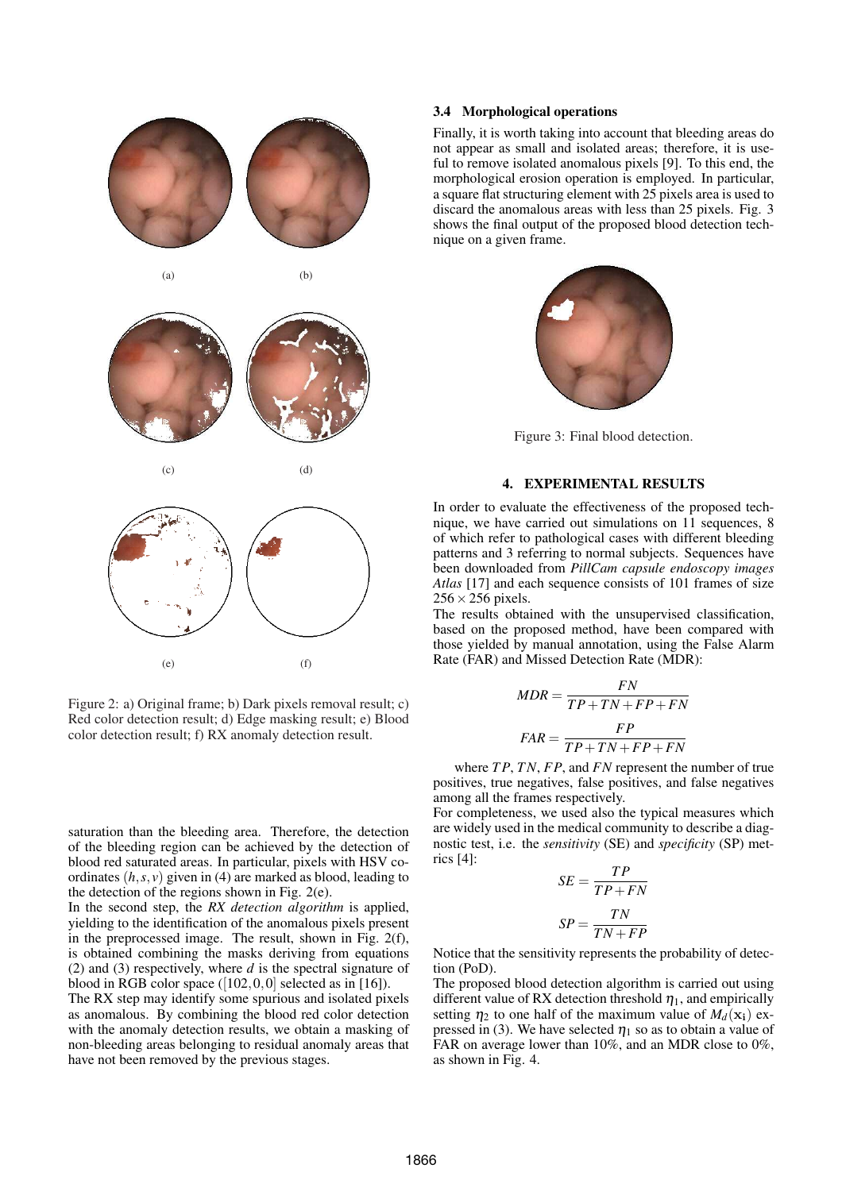

Figure 2: a) Original frame; b) Dark pixels removal result; c) Red color detection result; d) Edge masking result; e) Blood color detection result; f) RX anomaly detection result.

saturation than the bleeding area. Therefore, the detection of the bleeding region can be achieved by the detection of blood red saturated areas. In particular, pixels with HSV coordinates  $(h, s, v)$  given in (4) are marked as blood, leading to the detection of the regions shown in Fig. 2(e).

In the second step, the *RX detection algorithm* is applied, yielding to the identification of the anomalous pixels present in the preprocessed image. The result, shown in Fig. 2(f), is obtained combining the masks deriving from equations (2) and (3) respectively, where *d* is the spectral signature of blood in RGB color space  $([102, 0, 0]$  selected as in [16]).

The RX step may identify some spurious and isolated pixels as anomalous. By combining the blood red color detection with the anomaly detection results, we obtain a masking of non-bleeding areas belonging to residual anomaly areas that have not been removed by the previous stages.

# 3.4 Morphological operations

Finally, it is worth taking into account that bleeding areas do not appear as small and isolated areas; therefore, it is useful to remove isolated anomalous pixels [9]. To this end, the morphological erosion operation is employed. In particular, a square flat structuring element with 25 pixels area is used to discard the anomalous areas with less than 25 pixels. Fig. 3 shows the final output of the proposed blood detection technique on a given frame.



Figure 3: Final blood detection.

# 4. EXPERIMENTAL RESULTS

In order to evaluate the effectiveness of the proposed technique, we have carried out simulations on 11 sequences, 8 of which refer to pathological cases with different bleeding patterns and 3 referring to normal subjects. Sequences have been downloaded from *PillCam capsule endoscopy images Atlas* [17] and each sequence consists of 101 frames of size  $256 \times 256$  pixels.

The results obtained with the unsupervised classification, based on the proposed method, have been compared with those yielded by manual annotation, using the False Alarm Rate (FAR) and Missed Detection Rate (MDR):

$$
MDR = \frac{FN}{TP + TN + FP + FN}
$$

$$
FAR = \frac{FP}{TP + TN + FP + FN}
$$

where *T P*, *T N*, *FP*, and *FN* represent the number of true positives, true negatives, false positives, and false negatives among all the frames respectively.

For completeness, we used also the typical measures which are widely used in the medical community to describe a diagnostic test, i.e. the *sensitivity* (SE) and *specificity* (SP) metrics [4]:

$$
SE = \frac{TP}{TP + FN}
$$

$$
SP = \frac{TN}{TN + FP}
$$

Notice that the sensitivity represents the probability of detection (PoD).

The proposed blood detection algorithm is carried out using different value of RX detection threshold  $\eta_1$ , and empirically setting  $\eta_2$  to one half of the maximum value of  $M_d(\mathbf{x_i})$  expressed in (3). We have selected  $\eta_1$  so as to obtain a value of FAR on average lower than 10%, and an MDR close to 0%, as shown in Fig. 4.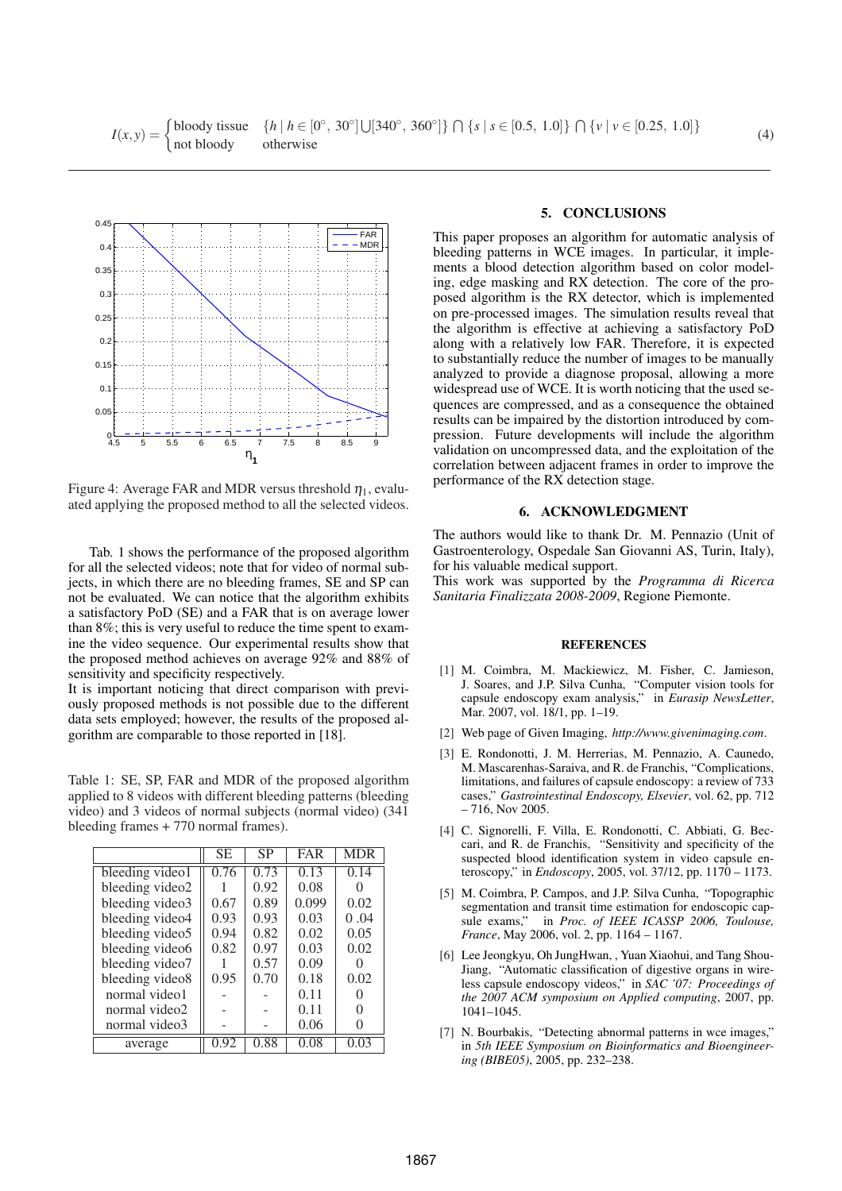

Figure 4: Average FAR and MDR versus threshold  $\eta_1$ , evaluated applying the proposed method to all the selected videos.

Tab. 1 shows the performance of the proposed algorithm for all the selected videos; note that for video of normal subjects, in which there are no bleeding frames, SE and SP can not be evaluated. We can notice that the algorithm exhibits a satisfactory PoD (SE) and a FAR that is on average lower than 8%; this is very useful to reduce the time spent to examine the video sequence. Our experimental results show that the proposed method achieves on average 92% and 88% of sensitivity and specificity respectively.

It is important noticing that direct comparison with previously proposed methods is not possible due to the different data sets employed; however, the results of the proposed algorithm are comparable to those reported in [18].

Table 1: SE, SP, FAR and MDR of the proposed algorithm applied to 8 videos with different bleeding patterns (bleeding video) and 3 videos of normal subjects (normal video) (341 bleeding frames + 770 normal frames).

|                 | <b>SE</b> | SP   | <b>FAR</b> | <b>MDR</b>        |
|-----------------|-----------|------|------------|-------------------|
| bleeding video1 | 0.76      | 0.73 | 0.13       | 0.14              |
| bleeding video2 |           | 0.92 | 0.08       |                   |
| bleeding video3 | 0.67      | 0.89 | 0.099      | 0.02              |
| bleeding video4 | 0.93      | 0.93 | 0.03       | 0.04              |
| bleeding video5 | 0.94      | 0.82 | 0.02       | 0.05              |
| bleeding video6 | 0.82      | 0.97 | 0.03       | 0.02              |
| bleeding video7 |           | 0.57 | 0.09       |                   |
| bleeding video8 | 0.95      | 0.70 | 0.18       | 0.02              |
| normal video1   |           |      | 0.11       | $\mathbf{\Omega}$ |
| normal video2   |           |      | 0.11       | 0                 |
| normal video3   |           |      | 0.06       | $\Omega$          |
| average         | 0.92      | 0.88 | 0.08       | 0.03              |

# 5. CONCLUSIONS

This paper proposes an algorithm for automatic analysis of bleeding patterns in WCE images. In particular, it implements a blood detection algorithm based on color modeling, edge masking and RX detection. The core of the proposed algorithm is the RX detector, which is implemented on pre-processed images. The simulation results reveal that the algorithm is effective at achieving a satisfactory PoD along with a relatively low FAR. Therefore, it is expected to substantially reduce the number of images to be manually analyzed to provide a diagnose proposal, allowing a more widespread use of WCE. It is worth noticing that the used sequences are compressed, and as a consequence the obtained results can be impaired by the distortion introduced by compression. Future developments will include the algorithm validation on uncompressed data, and the exploitation of the correlation between adjacent frames in order to improve the performance of the RX detection stage.

# 6. ACKNOWLEDGMENT

The authors would like to thank Dr. M. Pennazio (Unit of Gastroenterology, Ospedale San Giovanni AS, Turin, Italy), for his valuable medical support.

This work was supported by the *Programma di Ricerca Sanitaria Finalizzata 2008-2009*, Regione Piemonte.

# **REFERENCES**

- [1] M. Coimbra, M. Mackiewicz, M. Fisher, C. Jamieson, J. Soares, and J.P. Silva Cunha, "Computer vision tools for capsule endoscopy exam analysis," in *Eurasip NewsLetter*, Mar. 2007, vol. 18/1, pp. 1-19.
- [2] Web page of Given Imaging, *http://www.givenimaging.com*.
- [3] E. Rondonotti, J. M. Herrerias, M. Pennazio, A. Caunedo, M. Mascarenhas-Saraiva, and R. de Franchis, "Complications, limitations, and failures of capsule endoscopy: a review of 733 cases," *Gastrointestinal Endoscopy, Elsevier*, vol. 62, pp. 712 – 716, Nov 2005.
- [4] C. Signorelli, F. Villa, E. Rondonotti, C. Abbiati, G. Beccari, and R. de Franchis, "Sensitivity and specificity of the suspected blood identification system in video capsule enteroscopy," in *Endoscopy*, 2005, vol. 37/12, pp. 1170 – 1173.
- [5] M. Coimbra, P. Campos, and J.P. Silva Cunha, "Topographic segmentation and transit time estimation for endoscopic capsule exams," in *Proc. of IEEE ICASSP 2006, Toulouse, France*, May 2006, vol. 2, pp. 1164 – 1167.
- [6] Lee Jeongkyu, Oh JungHwan, , Yuan Xiaohui, and Tang Shou-Jiang, "Automatic classification of digestive organs in wireless capsule endoscopy videos," in *SAC '07: Proceedings of the 2007 ACM symposium on Applied computing*, 2007, pp. 1041–1045.
- [7] N. Bourbakis, "Detecting abnormal patterns in wce images," in *5th IEEE Symposium on Bioinformatics and Bioengineering (BIBE05)*, 2005, pp. 232–238.